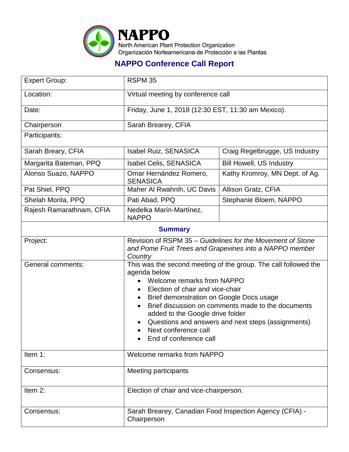

## **NAPPO Conference Call Report**

| <b>Expert Group:</b>     | RSPM 35                                                                                                                                                                                                                                                                                                                                                                                         |                                 |  |
|--------------------------|-------------------------------------------------------------------------------------------------------------------------------------------------------------------------------------------------------------------------------------------------------------------------------------------------------------------------------------------------------------------------------------------------|---------------------------------|--|
| Location:                | Virtual meeting by conference call                                                                                                                                                                                                                                                                                                                                                              |                                 |  |
| Date:                    | Friday, June 1, 2018 (12:30 EST, 11:30 am Mexico).                                                                                                                                                                                                                                                                                                                                              |                                 |  |
| Chairperson              | Sarah Brearey, CFIA                                                                                                                                                                                                                                                                                                                                                                             |                                 |  |
| Participants:            |                                                                                                                                                                                                                                                                                                                                                                                                 |                                 |  |
| Sarah Breary, CFIA       | <b>Isabel Ruiz, SENASICA</b>                                                                                                                                                                                                                                                                                                                                                                    | Craig Regelbrugge, US Industry  |  |
| Margarita Bateman, PPQ   | Isabel Celis, SENASICA                                                                                                                                                                                                                                                                                                                                                                          | <b>Bill Howell, US Industry</b> |  |
| Alonso Suazo, NAPPO      | Omar Hernández Romero,<br><b>SENASICA</b>                                                                                                                                                                                                                                                                                                                                                       | Kathy Kromroy, MN Dept. of Ag.  |  |
| Pat Shiel, PPQ           | Maher Al Rwahnih, UC Davis                                                                                                                                                                                                                                                                                                                                                                      | Allison Gratz, CFIA             |  |
| Shelah Morita, PPQ       | Pati Abad, PPQ                                                                                                                                                                                                                                                                                                                                                                                  | Stephanie Bloem, NAPPO          |  |
| Rajesh Ramarathnam, CFIA | Nedelka Marín-Martínez,<br><b>NAPPO</b>                                                                                                                                                                                                                                                                                                                                                         |                                 |  |
| <b>Summary</b>           |                                                                                                                                                                                                                                                                                                                                                                                                 |                                 |  |
| Project:                 | Revision of RSPM 35 – Guidelines for the Movement of Stone<br>and Pome Fruit Trees and Grapevines into a NAPPO member<br>Country                                                                                                                                                                                                                                                                |                                 |  |
| General comments:        | This was the second meeting of the group. The call followed the<br>agenda below<br>Welcome remarks from NAPPO<br>Election of chair and vice-chair<br>Brief demonstration on Google Docs usage<br>Brief discussion on comments made to the documents<br>added to the Google drive folder<br>Questions and answers and next steps (assignments)<br>Next conference call<br>End of conference call |                                 |  |
| Item 1:                  | Welcome remarks from NAPPO                                                                                                                                                                                                                                                                                                                                                                      |                                 |  |
| Consensus:               | <b>Meeting participants</b>                                                                                                                                                                                                                                                                                                                                                                     |                                 |  |
| Item 2:                  | Election of chair and vice-chairperson.                                                                                                                                                                                                                                                                                                                                                         |                                 |  |
| Consensus:               | Sarah Brearey, Canadian Food Inspection Agency (CFIA) -<br>Chairperson                                                                                                                                                                                                                                                                                                                          |                                 |  |